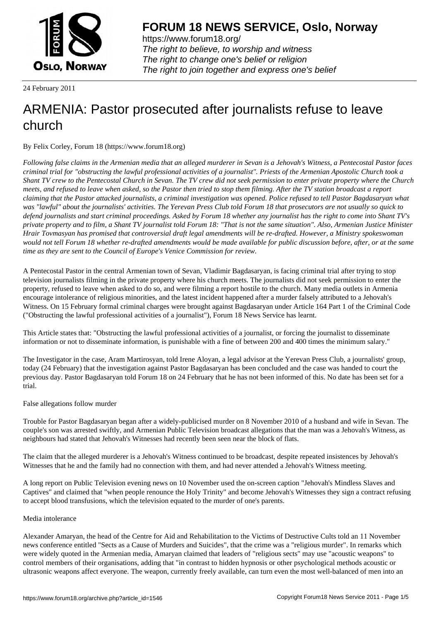

https://www.forum18.org/ The right to believe, to worship and witness The right to change one's belief or religion [The right to join together a](https://www.forum18.org/)nd express one's belief

24 February 2011

# [ARMENIA: Pas](https://www.forum18.org)tor prosecuted after journalists refuse to leave church

By Felix Corley, Forum 18 (https://www.forum18.org)

*Following false claims in the Armenian media that an alleged murderer in Sevan is a Jehovah's Witness, a Pentecostal Pastor faces criminal trial for "obstructing the lawful professional activities of a journalist". Priests of the Armenian Apostolic Church took a Shant TV crew to the Pentecostal Church in Sevan. The TV crew did not seek permission to enter private property where the Church meets, and refused to leave when asked, so the Pastor then tried to stop them filming. After the TV station broadcast a report claiming that the Pastor attacked journalists, a criminal investigation was opened. Police refused to tell Pastor Bagdasaryan what was "lawful" about the journalists' activities. The Yerevan Press Club told Forum 18 that prosecutors are not usually so quick to defend journalists and start criminal proceedings. Asked by Forum 18 whether any journalist has the right to come into Shant TV's private property and to film, a Shant TV journalist told Forum 18: "That is not the same situation". Also, Armenian Justice Minister Hrair Tovmasyan has promised that controversial draft legal amendments will be re-drafted. However, a Ministry spokeswoman would not tell Forum 18 whether re-drafted amendments would be made available for public discussion before, after, or at the same time as they are sent to the Council of Europe's Venice Commission for review.*

A Pentecostal Pastor in the central Armenian town of Sevan, Vladimir Bagdasaryan, is facing criminal trial after trying to stop television journalists filming in the private property where his church meets. The journalists did not seek permission to enter the property, refused to leave when asked to do so, and were filming a report hostile to the church. Many media outlets in Armenia encourage intolerance of religious minorities, and the latest incident happened after a murder falsely attributed to a Jehovah's Witness. On 15 February formal criminal charges were brought against Bagdasaryan under Article 164 Part 1 of the Criminal Code ("Obstructing the lawful professional activities of a journalist"), Forum 18 News Service has learnt.

This Article states that: "Obstructing the lawful professional activities of a journalist, or forcing the journalist to disseminate information or not to disseminate information, is punishable with a fine of between 200 and 400 times the minimum salary."

The Investigator in the case, Aram Martirosyan, told Irene Aloyan, a legal advisor at the Yerevan Press Club, a journalists' group, today (24 February) that the investigation against Pastor Bagdasaryan has been concluded and the case was handed to court the previous day. Pastor Bagdasaryan told Forum 18 on 24 February that he has not been informed of this. No date has been set for a trial.

## False allegations follow murder

Trouble for Pastor Bagdasaryan began after a widely-publicised murder on 8 November 2010 of a husband and wife in Sevan. The couple's son was arrested swiftly, and Armenian Public Television broadcast allegations that the man was a Jehovah's Witness, as neighbours had stated that Jehovah's Witnesses had recently been seen near the block of flats.

The claim that the alleged murderer is a Jehovah's Witness continued to be broadcast, despite repeated insistences by Jehovah's Witnesses that he and the family had no connection with them, and had never attended a Jehovah's Witness meeting.

A long report on Public Television evening news on 10 November used the on-screen caption "Jehovah's Mindless Slaves and Captives" and claimed that "when people renounce the Holy Trinity" and become Jehovah's Witnesses they sign a contract refusing to accept blood transfusions, which the television equated to the murder of one's parents.

## Media intolerance

Alexander Amaryan, the head of the Centre for Aid and Rehabilitation to the Victims of Destructive Cults told an 11 November news conference entitled "Sects as a Cause of Murders and Suicides", that the crime was a "religious murder". In remarks which were widely quoted in the Armenian media, Amaryan claimed that leaders of "religious sects" may use "acoustic weapons" to control members of their organisations, adding that "in contrast to hidden hypnosis or other psychological methods acoustic or ultrasonic weapons affect everyone. The weapon, currently freely available, can turn even the most well-balanced of men into an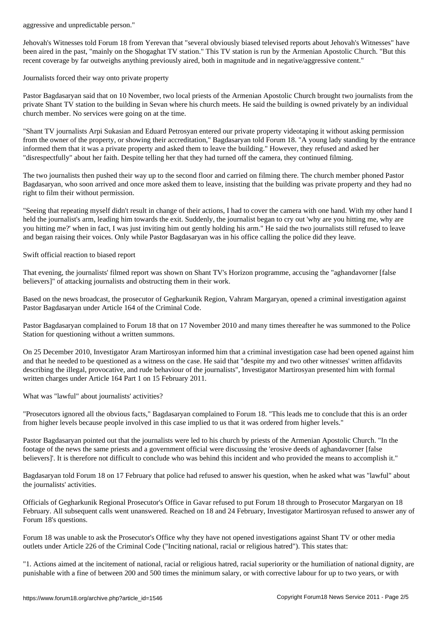Jehovah's Witnesses told Forum 18 from Yerevan that "several obviously biased televised reports about Jehovah's Witnesses" have been aired in the past, "mainly on the Shogaghat TV station." This TV station is run by the Armenian Apostolic Church. "But this recent coverage by far outweighs anything previously aired, both in magnitude and in negative/aggressive content."

Journalists forced their way onto private property

Pastor Bagdasaryan said that on 10 November, two local priests of the Armenian Apostolic Church brought two journalists from the private Shant TV station to the building in Sevan where his church meets. He said the building is owned privately by an individual church member. No services were going on at the time.

"Shant TV journalists Arpi Sukasian and Eduard Petrosyan entered our private property videotaping it without asking permission from the owner of the property, or showing their accreditation," Bagdasaryan told Forum 18. "A young lady standing by the entrance informed them that it was a private property and asked them to leave the building." However, they refused and asked her "disrespectfully" about her faith. Despite telling her that they had turned off the camera, they continued filming.

The two journalists then pushed their way up to the second floor and carried on filming there. The church member phoned Pastor Bagdasaryan, who soon arrived and once more asked them to leave, insisting that the building was private property and they had no right to film their without permission.

"Seeing that repeating myself didn't result in change of their actions, I had to cover the camera with one hand. With my other hand I held the journalist's arm, leading him towards the exit. Suddenly, the journalist began to cry out 'why are you hitting me, why are you hitting me?' when in fact, I was just inviting him out gently holding his arm." He said the two journalists still refused to leave and began raising their voices. Only while Pastor Bagdasaryan was in his office calling the police did they leave.

Swift official reaction to biased report

That evening, the journalists' filmed report was shown on Shant TV's Horizon programme, accusing the "aghandavorner [false believers]" of attacking journalists and obstructing them in their work.

Based on the news broadcast, the prosecutor of Gegharkunik Region, Vahram Margaryan, opened a criminal investigation against Pastor Bagdasaryan under Article 164 of the Criminal Code.

Pastor Bagdasaryan complained to Forum 18 that on 17 November 2010 and many times thereafter he was summoned to the Police Station for questioning without a written summons.

On 25 December 2010, Investigator Aram Martirosyan informed him that a criminal investigation case had been opened against him and that he needed to be questioned as a witness on the case. He said that "despite my and two other witnesses' written affidavits describing the illegal, provocative, and rude behaviour of the journalists", Investigator Martirosyan presented him with formal written charges under Article 164 Part 1 on 15 February 2011.

What was "lawful" about journalists' activities?

"Prosecutors ignored all the obvious facts," Bagdasaryan complained to Forum 18. "This leads me to conclude that this is an order from higher levels because people involved in this case implied to us that it was ordered from higher levels."

Pastor Bagdasaryan pointed out that the journalists were led to his church by priests of the Armenian Apostolic Church. "In the footage of the news the same priests and a government official were discussing the 'erosive deeds of aghandavorner [false believers]'. It is therefore not difficult to conclude who was behind this incident and who provided the means to accomplish it."

Bagdasaryan told Forum 18 on 17 February that police had refused to answer his question, when he asked what was "lawful" about the journalists' activities.

Officials of Gegharkunik Regional Prosecutor's Office in Gavar refused to put Forum 18 through to Prosecutor Margaryan on 18 February. All subsequent calls went unanswered. Reached on 18 and 24 February, Investigator Martirosyan refused to answer any of Forum 18's questions.

Forum 18 was unable to ask the Prosecutor's Office why they have not opened investigations against Shant TV or other media outlets under Article 226 of the Criminal Code ("Inciting national, racial or religious hatred"). This states that:

"1. Actions aimed at the incitement of national, racial or religious hatred, racial superiority or the humiliation of national dignity, are punishable with a fine of between 200 and 500 times the minimum salary, or with corrective labour for up to two years, or with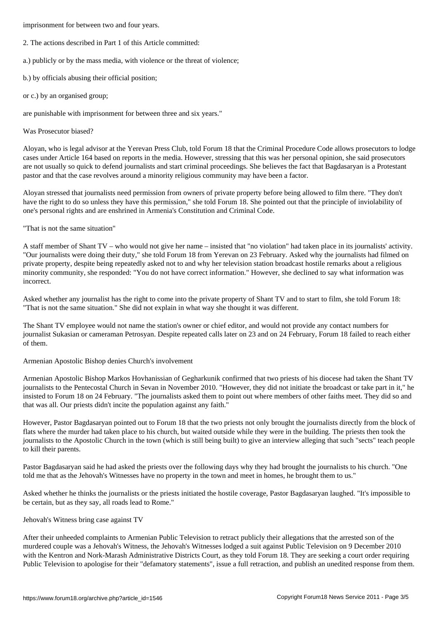- 2. The actions described in Part 1 of this Article committed:
- a.) publicly or by the mass media, with violence or the threat of violence;
- b.) by officials abusing their official position;
- or c.) by an organised group;

are punishable with imprisonment for between three and six years."

## Was Prosecutor biased?

Aloyan, who is legal advisor at the Yerevan Press Club, told Forum 18 that the Criminal Procedure Code allows prosecutors to lodge cases under Article 164 based on reports in the media. However, stressing that this was her personal opinion, she said prosecutors are not usually so quick to defend journalists and start criminal proceedings. She believes the fact that Bagdasaryan is a Protestant pastor and that the case revolves around a minority religious community may have been a factor.

Aloyan stressed that journalists need permission from owners of private property before being allowed to film there. "They don't have the right to do so unless they have this permission," she told Forum 18. She pointed out that the principle of inviolability of one's personal rights and are enshrined in Armenia's Constitution and Criminal Code.

## "That is not the same situation"

A staff member of Shant TV – who would not give her name – insisted that "no violation" had taken place in its journalists' activity. "Our journalists were doing their duty," she told Forum 18 from Yerevan on 23 February. Asked why the journalists had filmed on private property, despite being repeatedly asked not to and why her television station broadcast hostile remarks about a religious minority community, she responded: "You do not have correct information." However, she declined to say what information was incorrect.

Asked whether any journalist has the right to come into the private property of Shant TV and to start to film, she told Forum 18: "That is not the same situation." She did not explain in what way she thought it was different.

The Shant TV employee would not name the station's owner or chief editor, and would not provide any contact numbers for journalist Sukasian or cameraman Petrosyan. Despite repeated calls later on 23 and on 24 February, Forum 18 failed to reach either of them.

## Armenian Apostolic Bishop denies Church's involvement

Armenian Apostolic Bishop Markos Hovhanissian of Gegharkunik confirmed that two priests of his diocese had taken the Shant TV journalists to the Pentecostal Church in Sevan in November 2010. "However, they did not initiate the broadcast or take part in it," he insisted to Forum 18 on 24 February. "The journalists asked them to point out where members of other faiths meet. They did so and that was all. Our priests didn't incite the population against any faith."

However, Pastor Bagdasaryan pointed out to Forum 18 that the two priests not only brought the journalists directly from the block of flats where the murder had taken place to his church, but waited outside while they were in the building. The priests then took the journalists to the Apostolic Church in the town (which is still being built) to give an interview alleging that such "sects" teach people to kill their parents.

Pastor Bagdasaryan said he had asked the priests over the following days why they had brought the journalists to his church. "One told me that as the Jehovah's Witnesses have no property in the town and meet in homes, he brought them to us."

Asked whether he thinks the journalists or the priests initiated the hostile coverage, Pastor Bagdasaryan laughed. "It's impossible to be certain, but as they say, all roads lead to Rome."

## Jehovah's Witness bring case against TV

After their unheeded complaints to Armenian Public Television to retract publicly their allegations that the arrested son of the murdered couple was a Jehovah's Witness, the Jehovah's Witnesses lodged a suit against Public Television on 9 December 2010 with the Kentron and Nork-Marash Administrative Districts Court, as they told Forum 18. They are seeking a court order requiring Public Television to apologise for their "defamatory statements", issue a full retraction, and publish an unedited response from them.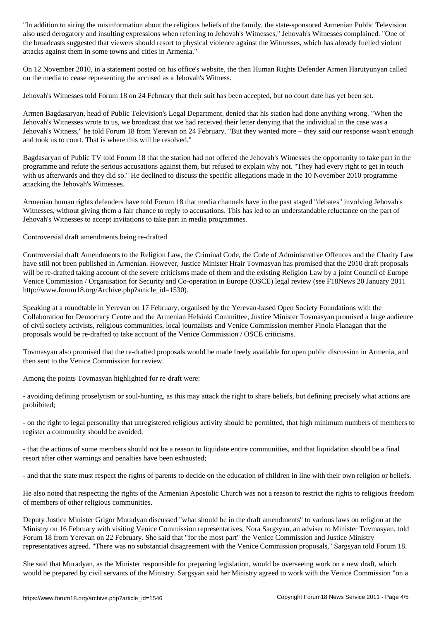also used derogatory and insulting expressions when referring to Jehovah's Witnesses," Jehovah's Witnesses complained. "One of the broadcasts suggested that viewers should resort to physical violence against the Witnesses, which has already fuelled violent attacks against them in some towns and cities in Armenia."

On 12 November 2010, in a statement posted on his office's website, the then Human Rights Defender Armen Harutyunyan called on the media to cease representing the accused as a Jehovah's Witness.

Jehovah's Witnesses told Forum 18 on 24 February that their suit has been accepted, but no court date has yet been set.

Armen Bagdasaryan, head of Public Television's Legal Department, denied that his station had done anything wrong. "When the Jehovah's Witnesses wrote to us, we broadcast that we had received their letter denying that the individual in the case was a Jehovah's Witness," he told Forum 18 from Yerevan on 24 February. "But they wanted more – they said our response wasn't enough and took us to court. That is where this will be resolved."

Bagdasaryan of Public TV told Forum 18 that the station had not offered the Jehovah's Witnesses the opportunity to take part in the programme and refute the serious accusations against them, but refused to explain why not. "They had every right to get in touch with us afterwards and they did so." He declined to discuss the specific allegations made in the 10 November 2010 programme attacking the Jehovah's Witnesses.

Armenian human rights defenders have told Forum 18 that media channels have in the past staged "debates" involving Jehovah's Witnesses, without giving them a fair chance to reply to accusations. This has led to an understandable reluctance on the part of Jehovah's Witnesses to accept invitations to take part in media programmes.

Controversial draft amendments being re-drafted

Controversial draft Amendments to the Religion Law, the Criminal Code, the Code of Administrative Offences and the Charity Law have still not been published in Armenian. However, Justice Minister Hrair Tovmasyan has promised that the 2010 draft proposals will be re-drafted taking account of the severe criticisms made of them and the existing Religion Law by a joint Council of Europe Venice Commission / Organisation for Security and Co-operation in Europe (OSCE) legal review (see F18News 20 January 2011 http://www.forum18.org/Archive.php?article\_id=1530).

Speaking at a roundtable in Yerevan on 17 February, organised by the Yerevan-based Open Society Foundations with the Collaboration for Democracy Centre and the Armenian Helsinki Committee, Justice Minister Tovmasyan promised a large audience of civil society activists, religious communities, local journalists and Venice Commission member Finola Flanagan that the proposals would be re-drafted to take account of the Venice Commission / OSCE criticisms.

Tovmasyan also promised that the re-drafted proposals would be made freely available for open public discussion in Armenia, and then sent to the Venice Commission for review.

Among the points Tovmasyan highlighted for re-draft were:

- avoiding defining proselytism or soul-hunting, as this may attack the right to share beliefs, but defining precisely what actions are prohibited;

- on the right to legal personality that unregistered religious activity should be permitted, that high minimum numbers of members to register a community should be avoided;

- that the actions of some members should not be a reason to liquidate entire communities, and that liquidation should be a final resort after other warnings and penalties have been exhausted;

- and that the state must respect the rights of parents to decide on the education of children in line with their own religion or beliefs.

He also noted that respecting the rights of the Armenian Apostolic Church was not a reason to restrict the rights to religious freedom of members of other religious communities.

Deputy Justice Minister Grigor Muradyan discussed "what should be in the draft amendments" to various laws on religion at the Ministry on 16 February with visiting Venice Commission representatives, Nora Sargsyan, an adviser to Minister Tovmasyan, told Forum 18 from Yerevan on 22 February. She said that "for the most part" the Venice Commission and Justice Ministry representatives agreed. "There was no substantial disagreement with the Venice Commission proposals," Sargsyan told Forum 18.

She said that Muradyan, as the Minister responsible for preparing legislation, would be overseeing work on a new draft, which would be prepared by civil servants of the Ministry. Sargsyan said her Ministry agreed to work with the Venice Commission "on a